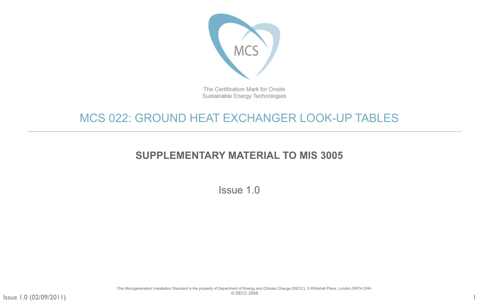

The Certification Mark for Onsite Sustainable Energy Technologies

Issue 1.0 (02/09/2011)

# MCS 022: GROUND HEAT EXCHANGER LOOK-UP TABLES

# **SUPPLEMENTARY MATERIAL TO MIS 3005**

Issue 1.0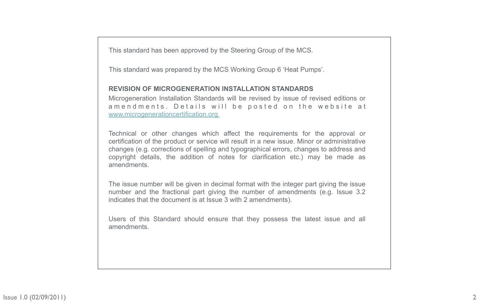This standard has been approved by the Steering Group of the MCS.

This standard was prepared by the MCS Working Group 6 'Heat Pumps'.

### **REVISION OF MICROGENERATION INSTALLATION STANDARDS**

Microgeneration Installation Standards will be revised by issue of revised editions or a m e n d m e n t s. D e t a ils will be posted on the website at [www.microgenerationcertification.org](http://www.microgenerationcertification.org)

Technical or other changes which affect the requirements for the approval or certification of the product or service will result in a new issue. Minor or administrative changes (e.g. corrections of spelling and typographical errors, changes to address and copyright details, the addition of notes for clarification etc.) may be made as amendments.

The issue number will be given in decimal format with the integer part giving the issue number and the fractional part giving the number of amendments (e.g. Issue 3.2 indicates that the document is at Issue 3 with 2 amendments).

Users of this Standard should ensure that they possess the latest issue and all amendments.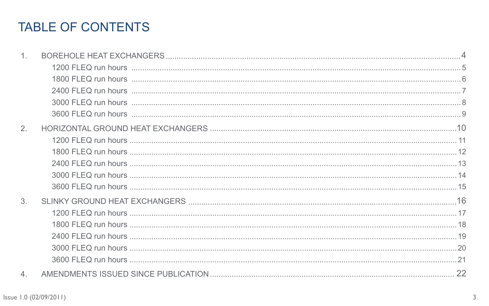# TABLE OF CONTENTS

| 3.               |  |
|------------------|--|
|                  |  |
|                  |  |
|                  |  |
|                  |  |
|                  |  |
| $\overline{4}$ . |  |

Issue 1.0 (02/09/2011)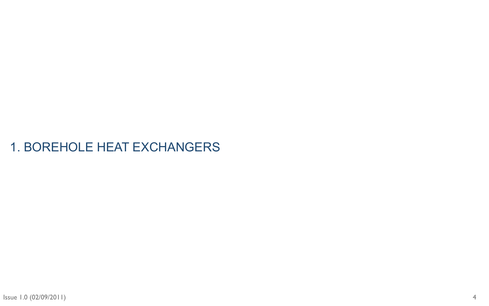# <span id="page-3-0"></span>1. BOREHOLE HEAT EXCHANGERS

4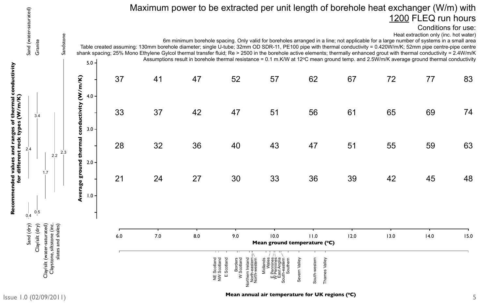# Maximum power to be extracted per unit length of borehole heat exchanger (W/m) with 1200 FLEQ run hours

6m minimum borehole spacing. Only valid for boreholes arranged in a line; not applicable for a large number of systems in a small area Table created assuming: 130mm borehole diameter; single U-tube; 32mm OD SDR-11, PE100 pipe with thermal conductivity = 0.420W/m/K; 52mm pipe centre-pipe centre shank spacing; 25% Mono Ethylene Gylcol thermal transfer fluid; Re > 2500 in the borehole active elements; thermally enhanced grout with thermal conductivity = 2.4W/m/K Assumptions result in borehole thermal resistance = 0.1 m.K/W at 12 $\degree$ C mean ground temp. and 2.5W/m/K average ground thermal conductivity

Conditions for use:

Heat extraction only (inc. hot water)

|     |     |     | Scotland<br>Scotland<br>Scotland<br><b>Borders</b><br>Scotland<br>thern Ireland<br>North-eastern<br>North-western<br>$\geq$<br>$\frac{w}{z}$<br>Ш | ands<br>Wales<br>Pennines<br>Pennines<br>Ext Arr<br>eastern<br>Southern<br>outh<br>ш≩г, | South-western<br>Valley<br>evern Valley<br>Thames<br>Ō |      |             |      |      |
|-----|-----|-----|---------------------------------------------------------------------------------------------------------------------------------------------------|-----------------------------------------------------------------------------------------|--------------------------------------------------------|------|-------------|------|------|
| 6.0 | 7.0 | 8.0 | 9.0                                                                                                                                               | 10.0                                                                                    | 11.0<br>Mean ground temperature (°C)                   | 12.0 | 13.0        | 14.0 | 15.0 |
| 21  |     |     | 24 27 30 33                                                                                                                                       |                                                                                         | 36 36                                                  |      | 39 42       | 45   | 48   |
|     |     |     |                                                                                                                                                   |                                                                                         |                                                        |      |             |      |      |
| 28  |     |     |                                                                                                                                                   |                                                                                         | 32 36 40 43 47                                         |      | 51 55       | 59   | 63   |
| 33  |     |     | 37 42 47 51                                                                                                                                       |                                                                                         |                                                        |      | 56 61 65    | 69   | 74   |
| 37  |     |     | 41 47 52 57                                                                                                                                       |                                                                                         |                                                        |      | 62 67 72 77 |      | 83   |

<span id="page-4-0"></span>

**Recommended values and ranges of thermal conductivity**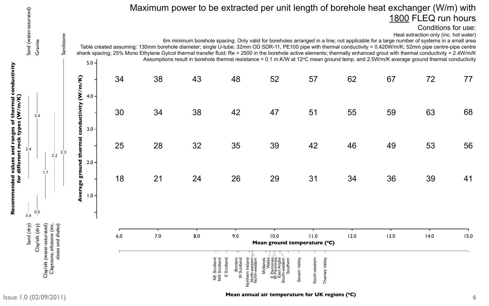|     |     |       | H H<br>Scotland<br>Scotland<br>Scotland<br>Borders<br>Scotland<br>orthern Ireland<br>North-eastern<br>North-western<br>$\frac{11}{2}$<br>$\geq$<br>Ш | Anglia<br>-eastern<br>Southern<br>Midland<br>th<br>Males<br>Pennines<br>Pennines<br>Sast Ances<br>Pennines<br>South-<br>ш≥Ш | South-western<br>Severn Valley<br>Valley<br>Thames |      |      |      |      |
|-----|-----|-------|------------------------------------------------------------------------------------------------------------------------------------------------------|-----------------------------------------------------------------------------------------------------------------------------|----------------------------------------------------|------|------|------|------|
| 6.0 | 7.0 | 8.0   | 9.0                                                                                                                                                  | 10.0<br>Mean ground temperature (°C)                                                                                        | 11.0                                               | 12.0 | 13.0 | 14.0 | 15.0 |
|     |     |       |                                                                                                                                                      |                                                                                                                             |                                                    |      |      |      |      |
| 18  |     | 21 24 | 26                                                                                                                                                   | 29                                                                                                                          | 31                                                 | 34   | 36   | 39   | 41   |
| 25  | 28  | 32    | 35                                                                                                                                                   | 39                                                                                                                          | 42                                                 | 46   | 49   | 53   | 56   |
| 30  | 34  |       | 38 42 47                                                                                                                                             |                                                                                                                             | 51                                                 | 55   | 59   | 63   | 68   |
| 34  | 38  | 43 48 |                                                                                                                                                      | 52                                                                                                                          | 57                                                 | 62   | 67   | 72   | 77   |

# Maximum power to be extracted per unit length of borehole heat exchanger (W/m) with 1800 FLEQ run hours

6m minimum borehole spacing. Only valid for boreholes arranged in a line; not applicable for a large number of systems in a small area Table created assuming: 130mm borehole diameter; single U-tube; 32mm OD SDR-11, PE100 pipe with thermal conductivity = 0.420W/m/K; 52mm pipe centre-pipe centre shank spacing; 25% Mono Ethylene Gylcol thermal transfer fluid; Re > 2500 in the borehole active elements; thermally enhanced grout with thermal conductivity = 2.4W/m/K Assumptions result in borehole thermal resistance = 0.1 m.K/W at 12 $\degree$ C mean ground temp. and 2.5W/m/K average ground thermal conductivity

<span id="page-5-0"></span>

**Recommended values and ranges of thermal conductivity** 

conductivity

#### Conditions for use: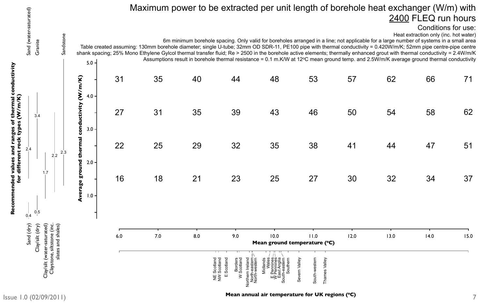|     |       |     | Scotland<br>Scotland<br>Scotland<br><b>Borders</b><br>Scotland<br>orthern Ireland<br>North-eastern<br>North-western<br>$\frac{11}{2}$<br>$\geq$<br>Ш | -eastern<br>Midlands<br>Males<br>Pennines<br>Pennines<br>Pennines<br>Pennines<br>Southern<br>South-<br>Ш≥ | South-western<br>Valley<br>Severn Valley<br>Thames |      |          |      |      |
|-----|-------|-----|------------------------------------------------------------------------------------------------------------------------------------------------------|-----------------------------------------------------------------------------------------------------------|----------------------------------------------------|------|----------|------|------|
| 6.0 | 7.0   | 8.0 | 9.0                                                                                                                                                  | 10.0                                                                                                      | 11.0<br>Mean ground temperature (°C)               | 12.0 | 13.0     | 14.0 | 15.0 |
|     |       |     |                                                                                                                                                      |                                                                                                           |                                                    |      |          |      |      |
| 16  |       |     |                                                                                                                                                      |                                                                                                           | 18 21 23 25 27                                     |      | 30 32    | 34   | 37   |
| 22  |       |     |                                                                                                                                                      | 25 29 32 35                                                                                               | 38                                                 |      | 41 44 47 |      | 51   |
| 27  |       |     |                                                                                                                                                      | 31 35 39 43                                                                                               | 46                                                 | 50   | 54       | 58   | 62   |
|     | 31 35 |     |                                                                                                                                                      | 40 44 48                                                                                                  | 53                                                 | 57   | 62       | 66   | 71   |

# Maximum power to be extracted per unit length of borehole heat exchanger (W/m) with 2400 FLEQ run hours

6m minimum borehole spacing. Only valid for boreholes arranged in a line; not applicable for a large number of systems in a small area Table created assuming: 130mm borehole diameter; single U-tube; 32mm OD SDR-11, PE100 pipe with thermal conductivity = 0.420W/m/K; 52mm pipe centre-pipe centre shank spacing; 25% Mono Ethylene Gylcol thermal transfer fluid; Re > 2500 in the borehole active elements; thermally enhanced grout with thermal conductivity = 2.4W/m/K Assumptions result in borehole thermal resistance = 0.1 m.K/W at 12 $\degree$ C mean ground temp. and 2.5W/m/K average ground thermal conductivity

<span id="page-6-0"></span>

**Recommended values and ranges of thermal conductivity** 

#### Mean annual air temperature for UK regions (°C)

#### Conditions for use: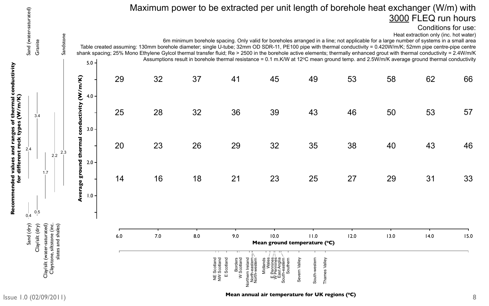|     |     |       | Scotland<br>Scotland<br>Scotland<br><b>Borders</b><br>Scotland<br>orthern Ireland<br>North-eastern<br>North-western<br>$\frac{11}{2}$<br>Ш<br>$\geq$ | -eastern<br>Midlands<br>Wales<br>Pennines<br>Pennines<br>Pennines<br>ast Anglia<br>Southern<br>South-<br>Ш≥ | Valley<br>Severn Valley<br>South-western<br>Thames |       |      |      |      |
|-----|-----|-------|------------------------------------------------------------------------------------------------------------------------------------------------------|-------------------------------------------------------------------------------------------------------------|----------------------------------------------------|-------|------|------|------|
| 6.0 | 7.0 | 8.0   | 9.0<br>. .                                                                                                                                           | 10.0                                                                                                        | 11.0<br>Mean ground temperature (°C)               | 12.0  | 13.0 | 14.0 | 15.0 |
|     |     |       |                                                                                                                                                      |                                                                                                             |                                                    |       |      |      |      |
| 14  |     |       |                                                                                                                                                      | 16 18 21 23                                                                                                 | 25                                                 | 27    | 29   | 31   | 33   |
| 20  | 23  | 26 30 |                                                                                                                                                      | 29 32                                                                                                       | 35                                                 | 38    | 40   | 43   | 46   |
| 25  | 28  | 32    | 36 36                                                                                                                                                | 39                                                                                                          | 43                                                 | 46 46 | 50   | 53   | 57   |
| 29  |     |       |                                                                                                                                                      | 32 37 41 45                                                                                                 | 49                                                 | 53    | 58   | 62   | 66   |

6m minimum borehole spacing. Only valid for boreholes arranged in a line; not applicable for a large number of systems in a small area Table created assuming: 130mm borehole diameter; single U-tube; 32mm OD SDR-11, PE100 pipe with thermal conductivity = 0.420W/m/K; 52mm pipe centre-pipe centre shank spacing; 25% Mono Ethylene Gylcol thermal transfer fluid; Re > 2500 in the borehole active elements; thermally enhanced grout with thermal conductivity = 2.4W/m/K Assumptions result in borehole thermal resistance = 0.1 m.K/W at 12 $\degree$ C mean ground temp. and 2.5W/m/K average ground thermal conductivity

<span id="page-7-0"></span>

**Recommended values and ranges of thermal conductivity** 

conductivity

# Maximum power to be extracted per unit length of borehole heat exchanger (W/m) with 3000 FLEQ run hours

#### Conditions for use: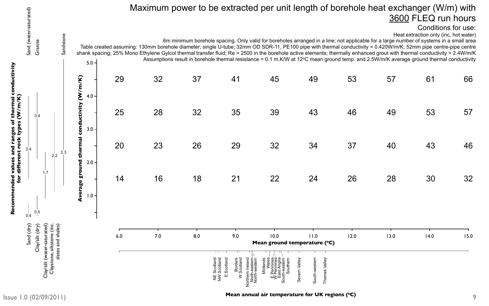|     |     | Scotland | <b>Borders</b><br>Scotland<br>Scotland<br>Scotland<br>rthern Ireland<br>North-eastern<br>North-western<br>$\frac{11}{2}$<br>Ш<br>$\geq$<br>റ | eastern<br>Southerr<br>Midlands<br>Wale<br>Pennine<br>Pennine<br>ast Angli<br>but<br>Ш≥<br>Ō | Valley<br>South-western<br>Severn Valley<br>Thames |       |      |      |      |
|-----|-----|----------|----------------------------------------------------------------------------------------------------------------------------------------------|----------------------------------------------------------------------------------------------|----------------------------------------------------|-------|------|------|------|
| 6.0 | 7.0 | 8.0      | 9.0<br>m                                                                                                                                     | 10.0<br>Mean ground temperature (°C)                                                         | 11.0                                               | 12.0  | 13.0 | 14.0 | 15.0 |
| 14  |     |          |                                                                                                                                              | 16 18 21 22                                                                                  | 24                                                 | 26    | 28   | 30   | 32   |
| 20  |     |          |                                                                                                                                              | 23 26 29 32                                                                                  |                                                    | 34 37 | 40   | 43   | 46   |
| 25  |     |          |                                                                                                                                              | 28 32 35 39                                                                                  | 43                                                 | 46    | 49   | 53   | 57   |
| 29  |     |          |                                                                                                                                              | 32 37 41 45                                                                                  | 49                                                 | 53    | 57   | 61   | 66   |

# Maximum power to be extracted per unit length of borehole heat exchanger (W/m) with 3600 FLEQ run hours

6m minimum borehole spacing. Only valid for boreholes arranged in a line; not applicable for a large number of systems in a small area Table created assuming: 130mm borehole diameter; single U-tube; 32mm OD SDR-11, PE100 pipe with thermal conductivity = 0.420W/m/K; 52mm pipe centre-pipe centre shank spacing; 25% Mono Ethylene Gylcol thermal transfer fluid; Re > 2500 in the borehole active elements; thermally enhanced grout with thermal conductivity = 2.4W/m/K Assumptions result in borehole thermal resistance = 0.1 m.K/W at 12 $\degree$ C mean ground temp. and 2.5W/m/K average ground thermal conductivity

<span id="page-8-0"></span>

**Recommended values and ranges of thermal conductivity** 

conductivity

#### Conditions for use: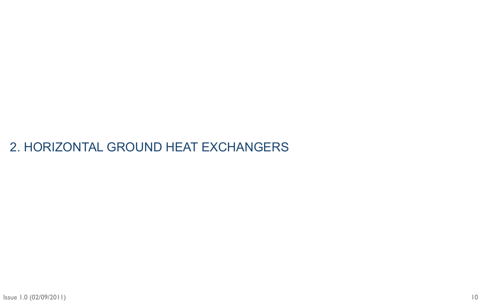# <span id="page-9-0"></span>2. HORIZONTAL GROUND HEAT EXCHANGERS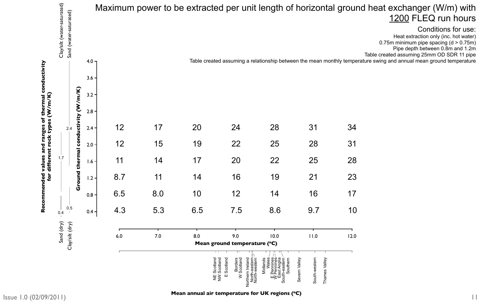**Mean annual air temperature for UK regions (°C)** 

# nd heat exchanger (W/m) with 1200 FLEQ run hours

<span id="page-10-0"></span>

|                                 |                             |                        |         |     |     |     |                                                                                                                            | Maximum power to be extracted per unit length of horizontal grour                         |                                                                                   |      |
|---------------------------------|-----------------------------|------------------------|---------|-----|-----|-----|----------------------------------------------------------------------------------------------------------------------------|-------------------------------------------------------------------------------------------|-----------------------------------------------------------------------------------|------|
|                                 | Clay/silt (water-saturated) | Sand (water-saturated) | $4.0 -$ |     |     |     |                                                                                                                            | Table created assuming a relationship between the mean monthly tempe                      |                                                                                   |      |
|                                 |                             |                        | $3.6 -$ |     |     |     |                                                                                                                            |                                                                                           |                                                                                   |      |
| <b>CON</b>                      |                             | m/K                    | $3.2 -$ |     |     |     |                                                                                                                            |                                                                                           |                                                                                   |      |
|                                 |                             | E<br><b>74</b>         | $2.8 -$ |     |     |     |                                                                                                                            |                                                                                           |                                                                                   |      |
| Ó<br>$\boldsymbol{\omega}$<br>₩ |                             | i,<br>2.4              | $2.4 -$ |     |     | 20  | 24                                                                                                                         | 28                                                                                        | $3^{\prime}$                                                                      | 34   |
| <b>Sue.</b><br>rock<br>and      |                             | condu                  | $2.0 -$ | 12  | 15  | 19  | 22                                                                                                                         | 25                                                                                        | 28                                                                                | 31   |
| different<br>values             | 1.7                         | thermal                | $1.6 -$ | 11  | 14  | 17  | 20                                                                                                                         | 22                                                                                        | 25                                                                                | 28   |
| bənded<br>for                   |                             | Ground                 | $1.2 -$ | 8.7 | 11  | 14  | 16                                                                                                                         | 19                                                                                        | 21                                                                                | 23   |
|                                 |                             |                        | $0.8 -$ | 6.5 | 8.0 | 10  | 12                                                                                                                         | 14                                                                                        | 16                                                                                | 17   |
| <u>၀</u><br>Red                 | 0.4                         | 0.5<br>$\pm 1$         | $0.4 -$ | 4.3 | 5.3 | 6.5 | 7.5                                                                                                                        | 8.6                                                                                       | 9.7                                                                               | 10   |
|                                 | Sand (dry)                  | Clay/silt (dry)        |         | 6.0 | 7.0 | 8.0 | 9.0<br>Mean ground temperature (°C)                                                                                        | 10.0                                                                                      | 11.0                                                                              | 12.0 |
|                                 |                             |                        |         |     |     |     | Northern Ireland<br>North-eastern<br>North-western<br>Scotland<br>Borders<br>W Scotland<br>NE Scotland<br>NW Scotland<br>Ш | Midlands<br>Wales<br>E Pennines<br>W Pennines<br>East Anglia<br>South-eastern<br>Southern | South-western<br>$\frac{\partial}{\partial y}$<br>Valley<br>Severn Vall<br>Thames |      |

Heat extraction only (inc. hot water) 0.75m minimum pipe spacing (d > 0.75m) Pipe depth between 0.8m and 1.2m Table created assuming 25mm OD SDR 11 pipe erature swing and annual mean ground temperature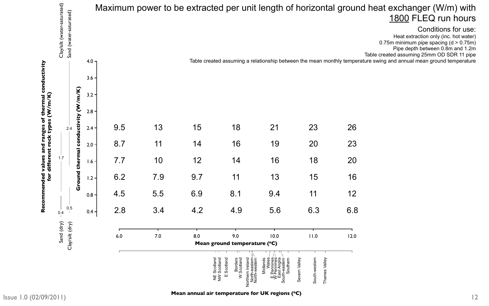# Id heat exchanger (W/m) with 1800 FLEQ run hours

<span id="page-11-0"></span>

| Clay/silt (water-saturated)<br>Sand (water-saturated) |            |                  |     |     |     |                                                                                                                                            | Maximum power to be extracted per unit length of horizontal groun                       |                                                 |      |
|-------------------------------------------------------|------------|------------------|-----|-----|-----|--------------------------------------------------------------------------------------------------------------------------------------------|-----------------------------------------------------------------------------------------|-------------------------------------------------|------|
|                                                       |            | 4.0 <sub>7</sub> |     |     |     |                                                                                                                                            | Table created assuming a relationship between the mean monthly temperation              |                                                 |      |
|                                                       |            | $3.6 -$          |     |     |     |                                                                                                                                            |                                                                                         |                                                 |      |
|                                                       | m/K)       | $3.2 -$          |     |     |     |                                                                                                                                            |                                                                                         |                                                 |      |
|                                                       | ctivity (W | $2.8 -$          |     |     |     |                                                                                                                                            |                                                                                         |                                                 |      |
| 2.4                                                   |            | $2.4 -$          | 9.5 |     | 15  | 18                                                                                                                                         |                                                                                         | 23                                              | 26   |
|                                                       | condu      | $2.0 -$          | 8.7 | 11  | 14  | 16                                                                                                                                         | 19                                                                                      | 20                                              | 23   |
| 1.7                                                   | thermal    | $-1.6 +$         | 7.7 | 10  | 12  | 14                                                                                                                                         | 16                                                                                      | 18                                              | 20   |
|                                                       | Ground     | $1.2 -$          | 6.2 | 7.9 | 9.7 | 11                                                                                                                                         | 13                                                                                      | 15                                              | 16   |
|                                                       |            | $0.8 -$          | 4.5 | 5.5 | 6.9 | 8.1                                                                                                                                        | 9.4                                                                                     | 11                                              | 12   |
| 0.5<br>0.4                                            |            | $0.4 -$          | 2.8 | 3.4 | 4.2 | 4.9                                                                                                                                        | 5.6                                                                                     | 6.3                                             | 6.8  |
|                                                       |            |                  |     |     |     |                                                                                                                                            |                                                                                         |                                                 |      |
| Sand (dry)<br>Clay/silt (dry)                         |            |                  | 6.0 | 7.0 | 8.0 | 9.0<br>Mean ground temperature (°C)                                                                                                        | 10.0                                                                                    | 11.0                                            | 12.0 |
|                                                       |            |                  |     |     |     | Northern Ireland<br>North-eastern<br>North-western<br>NE Scotland<br>NW Scotland<br>$\overline{C}$<br>Borders<br>W Scotland<br>Scotla<br>Ш | Midlands<br>Wales<br>Fennines<br>W Pennines<br>East Anglia<br>South-eastern<br>Southern | Severn Valley<br>South-western<br>Thames Valley |      |

Heat extraction only (inc. hot water) 0.75m minimum pipe spacing  $(d > 0.75m)$ Pipe depth between 0.8m and 1.2m Table created assuming 25mm OD SDR 11 pipe rature swing and annual mean ground temperature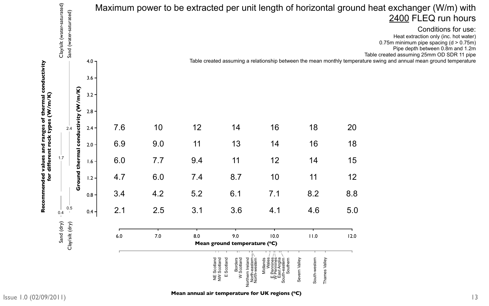# nd heat exchanger (W/m) with 2400 FLEQ run hours

<span id="page-12-0"></span>

|                              |                                                       |                    |                  |     |     |                           |                                                                                                                                          |                                                                                           | Maximum power to be extracted per unit length of horizontal grour     |                 |
|------------------------------|-------------------------------------------------------|--------------------|------------------|-----|-----|---------------------------|------------------------------------------------------------------------------------------------------------------------------------------|-------------------------------------------------------------------------------------------|-----------------------------------------------------------------------|-----------------|
|                              | Clay/silt (water-saturated)<br>Sand (water-saturated) |                    | 4.0 <sub>7</sub> |     |     |                           |                                                                                                                                          |                                                                                           | Table created assuming a relationship between the mean monthly temper |                 |
|                              |                                                       |                    | $3.6 -$          |     |     |                           |                                                                                                                                          |                                                                                           |                                                                       |                 |
|                              |                                                       | m/K)               | $3.2 -$          |     |     |                           |                                                                                                                                          |                                                                                           |                                                                       |                 |
| È                            |                                                       | $\boldsymbol{\xi}$ | $2.8 -$          |     |     |                           |                                                                                                                                          |                                                                                           |                                                                       |                 |
| ŏ                            | 2.4                                                   | <b>Ictivity</b>    | $2.4 -$          | 7.6 |     |                           |                                                                                                                                          | 16                                                                                        | 18                                                                    | 20              |
| rang<br>ock t<br>rock<br>and |                                                       | condu              | $2.0 -$          | 6.9 | 9.0 | 11                        | 13                                                                                                                                       | 14                                                                                        | 16                                                                    | 18              |
| different<br>values          | 1.7                                                   | thermal            | $1.6 -$          | 6.0 | 7.7 | 9.4                       | 11                                                                                                                                       | 12                                                                                        | 14                                                                    | 15              |
| hded<br>$\mathbf{f}$         |                                                       | Ground             | $1.2 -$          | 4.7 | 6.0 | 7.4                       | 8.7                                                                                                                                      | 10                                                                                        | 11                                                                    | 12 <sup>2</sup> |
|                              |                                                       |                    | $0.8 -$          | 3.4 | 4.2 | 5.2                       | 6.1                                                                                                                                      | 7.1                                                                                       | 8.2                                                                   | 8.8             |
| Re                           | 0.5<br>0.4                                            |                    | $0.4 -$          | 2.1 | 2.5 | 3.1                       | 3.6                                                                                                                                      | 4.1                                                                                       | 4.6                                                                   | 5.0             |
|                              | Sand (dry)<br>Clay/silt (dry)                         |                    |                  | 6.0 | 7.0 | 8.0                       | 9.0<br>Mean ground temperature (°C)                                                                                                      | 10.0                                                                                      | 11.0                                                                  | 12.0            |
|                              |                                                       |                    |                  |     |     | Scotlar<br>$\overline{z}$ | Scotland<br>Northern Ireland<br>North-eastern<br>North-western<br>$\vec{E}$ $\vec{E}$<br>Borders<br>W Scotland<br>Scotlar<br>Ш<br>$\geq$ | Midlands<br>Wales<br>F Pennines<br>W Pennines<br>East Anglia<br>South-eastern<br>Southern | South-western<br>$\cong$<br>Valley<br>Severn Vall<br>Thames           |                 |

Heat extraction only (inc. hot water) 0.75m minimum pipe spacing (d > 0.75m) Pipe depth between 0.8m and 1.2m Table created assuming 25mm OD SDR 11 pipe erature swing and annual mean ground temperature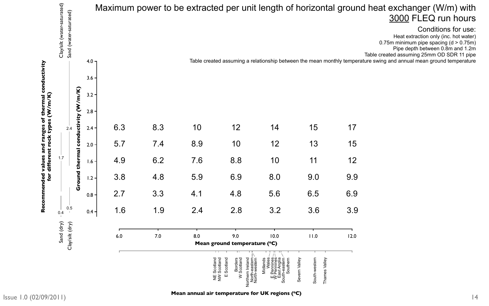**Mean annual air temperature for UK regions (°C)** 

<span id="page-13-0"></span>

|                               | Clay/silt (water-saturated)<br>Sand (water-saturated) |                    |                  |     |     |     |                                                                                                                                      |                                                                                           | Maximum power to be extracted per unit length of horizontal grour           |      |
|-------------------------------|-------------------------------------------------------|--------------------|------------------|-----|-----|-----|--------------------------------------------------------------------------------------------------------------------------------------|-------------------------------------------------------------------------------------------|-----------------------------------------------------------------------------|------|
|                               |                                                       |                    | 4.0 <sub>7</sub> |     |     |     |                                                                                                                                      |                                                                                           | Table created assuming a relationship between the mean monthly temper       |      |
| č<br>00                       |                                                       |                    | $3.6 -$          |     |     |     |                                                                                                                                      |                                                                                           |                                                                             |      |
|                               |                                                       | $m$ /K)            | $3.2 -$          |     |     |     |                                                                                                                                      |                                                                                           |                                                                             |      |
|                               |                                                       | $\boldsymbol{\xi}$ | $2.8 -$          |     |     |     |                                                                                                                                      |                                                                                           |                                                                             |      |
| Ò<br>$\boldsymbol{\omega}$    | 2.4                                                   | ctivity            | $2.4 -$          | 6.3 | 8.3 |     |                                                                                                                                      |                                                                                           | 15                                                                          |      |
| rang<br>ock ty<br>rock<br>and |                                                       | condu              | $2.0 -$          | 5.7 | 7.4 | 8.9 | 10                                                                                                                                   | 12                                                                                        | 13                                                                          | 15   |
| different<br>values           | 1.7                                                   | thermal            | $1.6 -$          | 4.9 | 6.2 | 7.6 | 8.8                                                                                                                                  | 10                                                                                        | 11                                                                          | 12   |
| bəhuə<br>for                  |                                                       | Ground             | $1.2 -$          | 3.8 | 4.8 | 5.9 | 6.9                                                                                                                                  | 8.0                                                                                       | 9.0                                                                         | 9.9  |
|                               |                                                       |                    | $0.8 -$          | 2.7 | 3.3 | 4.1 | 4.8                                                                                                                                  | 5.6                                                                                       | 6.5                                                                         | 6.9  |
| $\overline{\mathbf{0}}$<br>Re | 0.5<br>0.4                                            |                    | $0.4 -$          | 1.6 | 1.9 | 2.4 | 2.8                                                                                                                                  | 3.2                                                                                       | 3.6                                                                         | 3.9  |
|                               | Sand (dry)                                            |                    |                  |     |     |     |                                                                                                                                      |                                                                                           |                                                                             |      |
|                               | Clay/silt (dry)                                       |                    |                  | 6.0 | 7.0 | 8.0 | 9.0<br>Mean ground temperature (°C)                                                                                                  | 10.0                                                                                      | 11.0                                                                        | 12.0 |
|                               |                                                       |                    |                  |     |     |     | Scotland<br>Northern Ireland<br>North-eastern<br>North-western<br>NE Scotland<br>NW Scotland<br>Borders<br>W Scotland<br>Ш<br>$\geq$ | Midlands<br>Wales<br>E Pennines<br>V Pennines<br>East Anglia<br>South-eastern<br>Southern | $\mathbf{\hat{e}}$<br>South-western<br>ley<br>Severn Vall<br>Vall<br>Thames |      |

# nd heat exchanger (W/m) with 3000 FLEQ run hours

Heat extraction only (inc. hot water) 0.75m minimum pipe spacing (d > 0.75m) Pipe depth between 0.8m and 1.2m Table created assuming 25mm OD SDR 11 pipe rature swing and annual mean ground temperature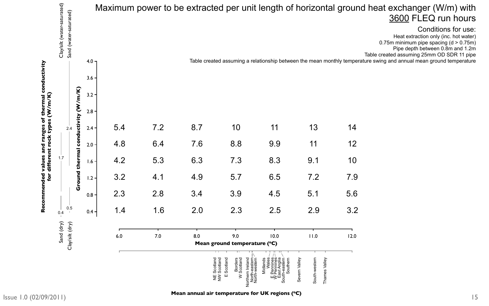<span id="page-14-0"></span>

| Clay/silt (water-saturated)<br>Sand (water-saturated) |            |                  |     |     |     | Maximum power to be extracted per unit length of horizontal groun                                                                                         |                                                                                       |                                                             |      |
|-------------------------------------------------------|------------|------------------|-----|-----|-----|-----------------------------------------------------------------------------------------------------------------------------------------------------------|---------------------------------------------------------------------------------------|-------------------------------------------------------------|------|
|                                                       |            | 4.0 <sub>7</sub> |     |     |     | Table created assuming a relationship between the mean monthly temper                                                                                     |                                                                                       |                                                             |      |
|                                                       |            | 3.6              |     |     |     |                                                                                                                                                           |                                                                                       |                                                             |      |
|                                                       | m/K)       | $3.2 -$          |     |     |     |                                                                                                                                                           |                                                                                       |                                                             |      |
|                                                       | ctivity (W | $2.8 -$          |     |     |     |                                                                                                                                                           |                                                                                       |                                                             |      |
| 2.4                                                   |            | $2.4 -$          | 5.4 | 7.2 | 8.7 |                                                                                                                                                           |                                                                                       |                                                             |      |
| rang<br>Ick ty<br>rock                                | condu      | $2.0 -$          | 4.8 | 6.4 | 7.6 | 8.8                                                                                                                                                       | 9.9                                                                                   | 11                                                          | 12   |
| different<br>1.7                                      | thermal    | $1.6 -$          | 4.2 | 5.3 | 6.3 | 7.3                                                                                                                                                       | 8.3                                                                                   | 9.1                                                         | 10   |
| <u>ior</u>                                            | Ground     | $1.2 -$          | 3.2 | 4.1 | 4.9 | 5.7                                                                                                                                                       | 6.5                                                                                   | 7.2                                                         | 7.9  |
|                                                       |            | 0.8 <sub>1</sub> | 2.3 | 2.8 | 3.4 | 3.9                                                                                                                                                       | 4.5                                                                                   | 5.1                                                         | 5.6  |
| 0.5<br>0.4                                            |            | $0.4 -$          | 1.4 | 1.6 | 2.0 | 2.3                                                                                                                                                       | 2.5                                                                                   | 2.9                                                         | 3.2  |
| Sand (dry)<br>Clay/silt (dry)                         |            |                  | 6.0 | 7.0 | 8.0 | 9.0<br>Mean ground temperature (°C)                                                                                                                       | 10.0                                                                                  | 11.0                                                        | 12.0 |
|                                                       |            |                  |     |     |     | सम<br>Scotland<br>Borders<br>W Scotland<br>Northern Ireland<br>North-eastern<br>North-western<br>$\vec{E}$<br>Scotlar<br>Scotlar<br>Ш<br>Z<br>$\geq$<br>Ш | Midlands<br>Wales<br>Fennines<br>V Pennines<br>East Anglia<br>East Anglia<br>Southern | South-western<br>ley<br>ley<br>Severn Val<br>lleV<br>Thames |      |

# nd heat exchanger (W/m) with 3600 FLEQ run hours

Heat extraction only (inc. hot water) 0.75m minimum pipe spacing (d > 0.75m) Pipe depth between 0.8m and 1.2m Table created assuming 25mm OD SDR 11 pipe rature swing and annual mean ground temperature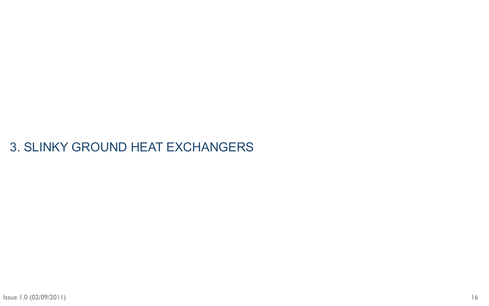# <span id="page-15-0"></span>3. SLINKY GROUND HEAT EXCHANGERS

16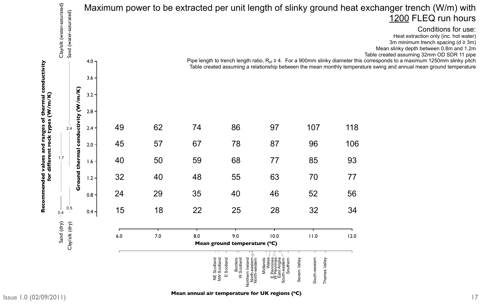# exchanger trench (W/m) with 1200 FLEQ run hours

### Conditions for use:

Heat extraction only (inc. hot water) 3m minimum trench spacing  $(d \ge 3m)$ Mean slinky depth between 0.8m and 1.2m Table created assuming 32mm OD SDR 11 pipe

<span id="page-16-0"></span>

|                                                        |                                                       |            |                  |     |     |                |                                                                                                                                |                                                                                         | Maximum power to be extracted per unit length of slinky ground heat                                                                                          |      |
|--------------------------------------------------------|-------------------------------------------------------|------------|------------------|-----|-----|----------------|--------------------------------------------------------------------------------------------------------------------------------|-----------------------------------------------------------------------------------------|--------------------------------------------------------------------------------------------------------------------------------------------------------------|------|
|                                                        | Clay/silt (water-saturated)<br>Sand (water-saturated) |            | 4.0 <sub>7</sub> |     |     |                |                                                                                                                                |                                                                                         | Pipe length to trench length ratio, $R_{pt} \ge 4$ . For a 900mm slinky diameter th<br>Table created assuming a relationship between the mean monthly temper |      |
|                                                        |                                                       |            | $3.6 -$          |     |     |                |                                                                                                                                |                                                                                         |                                                                                                                                                              |      |
|                                                        |                                                       | m/K)       | $3.2 -$          |     |     |                |                                                                                                                                |                                                                                         |                                                                                                                                                              |      |
| $\mathbf{\tilde{e}}$<br>$\widetilde{\bm{\varepsilon}}$ |                                                       | ctivity (W | $2.8 -$          |     |     |                |                                                                                                                                |                                                                                         |                                                                                                                                                              |      |
| O<br>ranges<br>₩                                       | 2.4                                                   |            | $2.4 -$          |     | 62  |                | 86                                                                                                                             | 97                                                                                      | 107                                                                                                                                                          | 118  |
| rock<br>and                                            |                                                       | condu      | $2.0 -$          | 45  | 57  | 67             | 78                                                                                                                             | 87                                                                                      | 96                                                                                                                                                           | 106  |
| different<br>values                                    | 1.7                                                   | thermal    | $1.6 +$          | 40  | 50  | 59             | 68                                                                                                                             | 77                                                                                      | 85                                                                                                                                                           | 93   |
| for<br>pepu                                            |                                                       | Ground     | $1.2 -$          | 32  | 40  | 48             | 55                                                                                                                             | 63                                                                                      | 70                                                                                                                                                           | 77   |
|                                                        |                                                       |            | $0.8 -$          | 24  | 29  | 35             | 40                                                                                                                             | 46                                                                                      | 52                                                                                                                                                           | 56   |
| $\tilde{\mathbf{R}}$                                   | 0.5<br>0.4                                            |            | $0.4 -$          | 15  | 18  | 22             | 25                                                                                                                             | 28                                                                                      | 32                                                                                                                                                           | 34   |
|                                                        | Sand (dry)                                            |            |                  |     |     |                |                                                                                                                                |                                                                                         |                                                                                                                                                              |      |
|                                                        | Clay/silt (dry)                                       |            |                  | 6.0 | 7.0 | 8.0            | 9.0<br>Mean ground temperature (°C)                                                                                            | 10.0                                                                                    | 11.0                                                                                                                                                         | 12.0 |
|                                                        |                                                       |            |                  |     |     | $\overline{z}$ | Scotland<br>North-eastern<br>North-western<br>Borders<br>W Scotland<br>Scotland<br>Scotland<br>Northern Ireland<br>Ш<br>$\geq$ | Midlands<br>Wales<br>Fennines<br>W Pennines<br>East Anglia<br>South-eastern<br>Southern | South-western<br>Valley<br>ley<br>Severn Val<br>Thames                                                                                                       |      |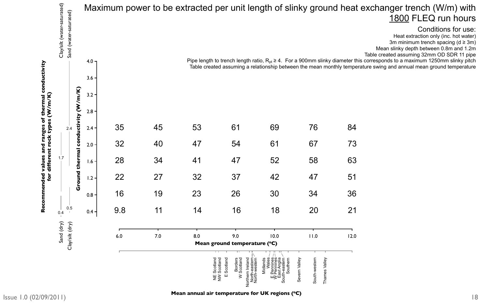**Mean annual air temperature for UK regions (°C)** 

# t exchanger trench (W/m) with 1800 FLEQ run hours

#### Conditions for use:

Heat extraction only (inc. hot water) 3m minimum trench spacing  $(d \ge 3m)$ Mean slinky depth between 0.8m and 1.2m Table created assuming 32mm OD SDR 11 pipe

<span id="page-17-0"></span>

|                                                       |                                     |         |     |     |     |                                                                                                                            |                                                                                         | Maximum power to be extracted per unit length of slinky ground heat                                                                                          |      |
|-------------------------------------------------------|-------------------------------------|---------|-----|-----|-----|----------------------------------------------------------------------------------------------------------------------------|-----------------------------------------------------------------------------------------|--------------------------------------------------------------------------------------------------------------------------------------------------------------|------|
| Clay/silt (water-saturated)<br>Sand (water-saturated) |                                     |         |     |     |     |                                                                                                                            |                                                                                         |                                                                                                                                                              |      |
|                                                       | 4.0 <sub>7</sub>                    |         |     |     |     |                                                                                                                            |                                                                                         | Pipe length to trench length ratio, $R_{pt} \ge 4$ . For a 900mm slinky diameter the<br>Table created assuming a relationship between the mean monthly tempe |      |
|                                                       |                                     | $3.6 -$ |     |     |     |                                                                                                                            |                                                                                         |                                                                                                                                                              |      |
|                                                       | $\mathbf{m}(\mathbf{K})$<br>$3.2 -$ |         |     |     |     |                                                                                                                            |                                                                                         |                                                                                                                                                              |      |
|                                                       | $\boldsymbol{\xi}$<br>$2.8 -$       |         |     |     |     |                                                                                                                            |                                                                                         |                                                                                                                                                              |      |
| 2.4                                                   | ctivity                             | $2.4 -$ | 35  | 45  | 53  | $\mathbf O$                                                                                                                | 69                                                                                      | 76                                                                                                                                                           | 84   |
|                                                       | condu                               | $2.0 -$ | 32  | 40  | 47  | 54                                                                                                                         | 61                                                                                      | 67                                                                                                                                                           | 73   |
| 1.7                                                   | thermal                             | $1.6 -$ | 28  | 34  | 41  | 47                                                                                                                         | 52                                                                                      | 58                                                                                                                                                           | 63   |
|                                                       | Ground                              | $1.2 -$ | 22  | 27  | 32  | 37                                                                                                                         | 42                                                                                      | 47                                                                                                                                                           | 51   |
|                                                       | $0.8 -$                             |         | 16  | 19  | 23  | 26                                                                                                                         | 30                                                                                      | 34                                                                                                                                                           | 36   |
| 0.5<br>0.4                                            |                                     | $0.4 -$ | 9.8 | 11  | 14  | 16                                                                                                                         | 18                                                                                      | 20                                                                                                                                                           | 21   |
| Sand (dry)<br>Clay'silt (dry)                         |                                     |         | 6.0 | 7.0 | 8.0 | 9.0                                                                                                                        | 10.0                                                                                    | 11.0                                                                                                                                                         | 12.0 |
|                                                       |                                     |         |     |     |     | Mean ground temperature (°C)                                                                                               |                                                                                         |                                                                                                                                                              |      |
|                                                       |                                     |         |     |     |     | Northern Ireland<br>North-eastern<br>North-western<br>Scotland<br>NE Scotland<br>NW Scotland<br>Borders<br>W Scotland<br>Ш | Midlands<br>Wales<br>Fennines<br>W Pennines<br>East Anglia<br>South-eastern<br>Southern | South-western<br>$\cong$<br>Thames Valley<br>Severn Val                                                                                                      |      |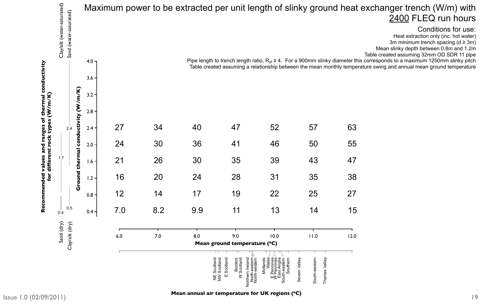**Mean annual air temperature for UK regions (°C)** 

# exchanger trench (W/m) with 2400 FLEQ run hours

### Conditions for use:

Heat extraction only (inc. hot water) 3m minimum trench spacing  $(d \ge 3m)$ Mean slinky depth between 0.8m and 1.2m Table created assuming 32mm OD SDR 11 pipe

<span id="page-18-0"></span>

|                          |                                                       |            |                  |     |     | Maximum power to be extracted per unit length of slinky ground heat |                                                                                                                            |                                                                                         |                                                                                                                                                             |      |
|--------------------------|-------------------------------------------------------|------------|------------------|-----|-----|---------------------------------------------------------------------|----------------------------------------------------------------------------------------------------------------------------|-----------------------------------------------------------------------------------------|-------------------------------------------------------------------------------------------------------------------------------------------------------------|------|
|                          | Clay/silt (water-saturated)<br>Sand (water-saturated) |            |                  |     |     |                                                                     |                                                                                                                            |                                                                                         |                                                                                                                                                             |      |
|                          |                                                       |            | 4.0 <sub>7</sub> |     |     |                                                                     |                                                                                                                            |                                                                                         | Pipe length to trench length ratio, $R_{pt} \ge 4$ . For a 900mm slinky diameter th<br>Table created assuming a relationship between the mean monthly tempe |      |
|                          |                                                       |            | $3.6 -$          |     |     |                                                                     |                                                                                                                            |                                                                                         |                                                                                                                                                             |      |
|                          |                                                       | (m/K)      | $3.2 -$          |     |     |                                                                     |                                                                                                                            |                                                                                         |                                                                                                                                                             |      |
|                          |                                                       | ctivity (W | $2.8 -$          |     |     |                                                                     |                                                                                                                            |                                                                                         |                                                                                                                                                             |      |
| $\ddot{\mathbf{u}}$<br>₩ | 2.4                                                   |            | $2.4 -$          |     |     |                                                                     |                                                                                                                            | 52                                                                                      | 57                                                                                                                                                          | 63   |
| rang<br>rock<br>pure     |                                                       | condu      | $2.0 -$          | 24  | 30  | 36                                                                  | 41                                                                                                                         | 46                                                                                      | 50                                                                                                                                                          | 55   |
| different<br>ralues      | 1.7                                                   | thermal    | $\overline{6}$   | 21  | 26  | 30                                                                  | 35                                                                                                                         | 39                                                                                      | 43                                                                                                                                                          | 47   |
| for<br>ਰ<br>ਹ            |                                                       | Ground     | $1.2 -$          | 16  | 20  | 24                                                                  | 28                                                                                                                         | 31                                                                                      | 35                                                                                                                                                          | 38   |
|                          |                                                       |            | $0.8 -$          | 12  | 14  | 17                                                                  | 19                                                                                                                         | 22                                                                                      | 25                                                                                                                                                          | 27   |
| $\tilde{\mathbf{r}}$     | 0.5<br>0.4                                            |            | $0.4 -$          | 7.0 | 8.2 | 9.9                                                                 | 11                                                                                                                         | 13                                                                                      | 14                                                                                                                                                          | 15   |
|                          | Sand (dry)                                            |            |                  |     |     |                                                                     |                                                                                                                            |                                                                                         |                                                                                                                                                             |      |
|                          | Clay'silt (dry)                                       |            |                  | 6.0 | 7.0 | 8.0                                                                 | 9.0<br>Mean ground temperature (°C)                                                                                        | 10.0                                                                                    | 11.0                                                                                                                                                        | 12.0 |
|                          |                                                       |            |                  |     |     | $\overline{\Xi}$                                                    | Scotland<br>Northern Ireland<br>North-eastern<br>North-western<br>NE Scotland<br>NW Scotland<br>Borders<br>W Scotland<br>Ш | Midlands<br>Wales<br>Fennines<br>W Pennines<br>East Anglia<br>South-eastern<br>Southern | South-western<br>$\frac{1}{\sqrt{9}}$<br>Thames Valley<br>Severn Val                                                                                        |      |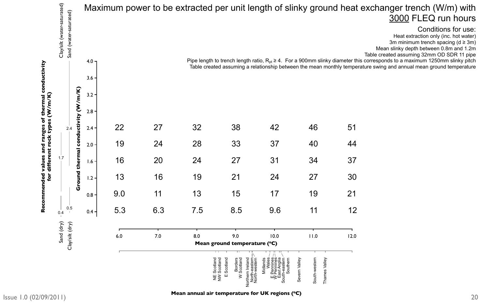**Mean annual air temperature for UK regions (°C)** 

# exchanger trench (W/m) with 3000 FLEQ run hours

### Conditions for use:

Heat extraction only (inc. hot water) 3m minimum trench spacing  $(d \ge 3m)$ Mean slinky depth between 0.8m and 1.2m Table created assuming 32mm OD SDR 11 pipe

<span id="page-19-0"></span>

|                     | Clay/silt (water-saturated)<br>Sand (water-saturated) |            |             |     |     | Maximum power to be extracted per unit length of slinky ground heat |                                                                                                                                |                                                                                                                                                              |                                                           |      |
|---------------------|-------------------------------------------------------|------------|-------------|-----|-----|---------------------------------------------------------------------|--------------------------------------------------------------------------------------------------------------------------------|--------------------------------------------------------------------------------------------------------------------------------------------------------------|-----------------------------------------------------------|------|
|                     |                                                       |            | $4.0 -$     |     |     |                                                                     |                                                                                                                                | Pipe length to trench length ratio, $R_{pt} \ge 4$ . For a 900mm slinky diameter th<br>Table created assuming a relationship between the mean monthly temper |                                                           |      |
|                     |                                                       |            | 3.6         |     |     |                                                                     |                                                                                                                                |                                                                                                                                                              |                                                           |      |
|                     |                                                       | (m/K)      | $3.2 -$     |     |     |                                                                     |                                                                                                                                |                                                                                                                                                              |                                                           |      |
|                     |                                                       | ctivity (W | $2.8 \cdot$ |     |     |                                                                     |                                                                                                                                |                                                                                                                                                              |                                                           |      |
| ranges<br>₩         | 2.4                                                   |            | $2.4 \cdot$ |     |     | 32                                                                  | 38                                                                                                                             |                                                                                                                                                              |                                                           | 51   |
| rock<br>bute        |                                                       | condu      | $2.0 \cdot$ | 19  | 24  | 28                                                                  | 33                                                                                                                             | 37                                                                                                                                                           | 40                                                        | 44   |
| different<br>values | 1.7                                                   | thermal    | $1.6 +$     | 16  | 20  | 24                                                                  | 27                                                                                                                             | 31                                                                                                                                                           | 34                                                        | 37   |
| for<br>pep          |                                                       | Ground     | $1.2 -$     | 13  | 16  | 19                                                                  | 21                                                                                                                             | 24                                                                                                                                                           | 27                                                        | 30   |
|                     |                                                       |            | 0.8         | 9.0 | 11  | 13                                                                  | 15                                                                                                                             | 17                                                                                                                                                           | 19                                                        | 21   |
| <b>Re</b>           | 0.5<br>0.4                                            |            | $0.4 -$     | 5.3 | 6.3 | 7.5                                                                 | 8.5                                                                                                                            | 9.6                                                                                                                                                          | 11                                                        | 12   |
|                     | Sand (dry)                                            |            |             |     |     |                                                                     |                                                                                                                                |                                                                                                                                                              |                                                           |      |
|                     | Clay/silt (dry)                                       |            |             | 6.0 | 7.0 | 8.0                                                                 | 9.0<br>Mean ground temperature (°C)                                                                                            | 10.0                                                                                                                                                         | 11.0                                                      | 12.0 |
|                     |                                                       |            |             |     |     | NE Scotla                                                           | Scotland<br>Northern Ireland<br>North-eastern<br>North-western<br>Borders<br>W Scotland<br>Scotland<br>Scotland<br>Ш<br>$\geq$ | Midlands<br>Wales<br>Fennines<br>W Pennines<br>East Anglia<br>South-eastern<br>Southern                                                                      | South-western<br>$\leq$<br>Valley<br>Severn Val<br>Thames |      |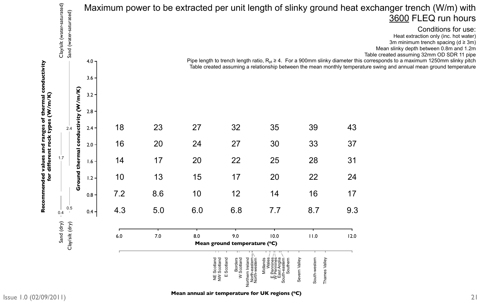**Mean annual air temperature for UK regions (°C)** 

# exchanger trench (W/m) with 3600 FLEQ run hours

#### Conditions for use:

Heat extraction only (inc. hot water) 3m minimum trench spacing  $(d \ge 3m)$ Mean slinky depth between 0.8m and 1.2m Table created assuming 32mm OD SDR 11 pipe

<span id="page-20-0"></span>

|                                                       |            |                  |     |     |     |                                                                                                                            |                                                                                         | Maximum power to be extracted per unit length of slinky ground heat                                                                                          |      |
|-------------------------------------------------------|------------|------------------|-----|-----|-----|----------------------------------------------------------------------------------------------------------------------------|-----------------------------------------------------------------------------------------|--------------------------------------------------------------------------------------------------------------------------------------------------------------|------|
| Clay/silt (water-saturated)<br>Sand (water-saturated) |            |                  |     |     |     |                                                                                                                            |                                                                                         |                                                                                                                                                              |      |
|                                                       |            | 4.0 <sub>7</sub> |     |     |     |                                                                                                                            |                                                                                         | Pipe length to trench length ratio, $R_{pt} \ge 4$ . For a 900mm slinky diameter th<br>Table created assuming a relationship between the mean monthly temper |      |
|                                                       |            | 3.6              |     |     |     |                                                                                                                            |                                                                                         |                                                                                                                                                              |      |
|                                                       | $m$ /K)    | $3.2 -$          |     |     |     |                                                                                                                            |                                                                                         |                                                                                                                                                              |      |
|                                                       | ctivity (W | 2.8              |     |     |     |                                                                                                                            |                                                                                         |                                                                                                                                                              |      |
| 2.4                                                   |            | $2.4 -$          | 18  | 23  |     | 32                                                                                                                         | 35                                                                                      | 39                                                                                                                                                           | 43   |
|                                                       | condu      | $2.0 -$          | 16  | 20  | 24  | 27                                                                                                                         | 30                                                                                      | 33                                                                                                                                                           | 37   |
| 1.7                                                   | thermal    | $1.6 -$          | 14  | 17  | 20  | 22                                                                                                                         | 25                                                                                      | 28                                                                                                                                                           | 31   |
|                                                       | Ground     | $1.2 -$          | 10  | 13  | 15  | 17                                                                                                                         | 20                                                                                      | 22                                                                                                                                                           | 24   |
|                                                       |            | 0.8              | 7.2 | 8.6 | 10  | 12                                                                                                                         | 14                                                                                      | 16                                                                                                                                                           | 17   |
| 0.5<br>0.4                                            |            | $0.4 -$          | 4.3 | 5.0 | 6.0 | 6.8                                                                                                                        | 7.7                                                                                     | 8.7                                                                                                                                                          | 9.3  |
| Sand (dry)                                            |            |                  |     |     |     |                                                                                                                            |                                                                                         |                                                                                                                                                              |      |
| Clay/silt (dry)                                       |            |                  | 6.0 | 7.0 | 8.0 | 9.0<br>Mean ground temperature (°C)                                                                                        | 10.0                                                                                    | 11.0                                                                                                                                                         | 12.0 |
|                                                       |            |                  |     |     |     | Northern Ireland<br>North-eastern<br>North-western<br>NE Scotland<br>NW Scotland<br>Scotland<br>Borders<br>W Scotland<br>Ш | Midlands<br>Wales<br>Fennines<br>W Pennines<br>East Anglia<br>South-eastern<br>Southern | ley<br>South-western<br>Thames Valley<br>Severn Val                                                                                                          |      |